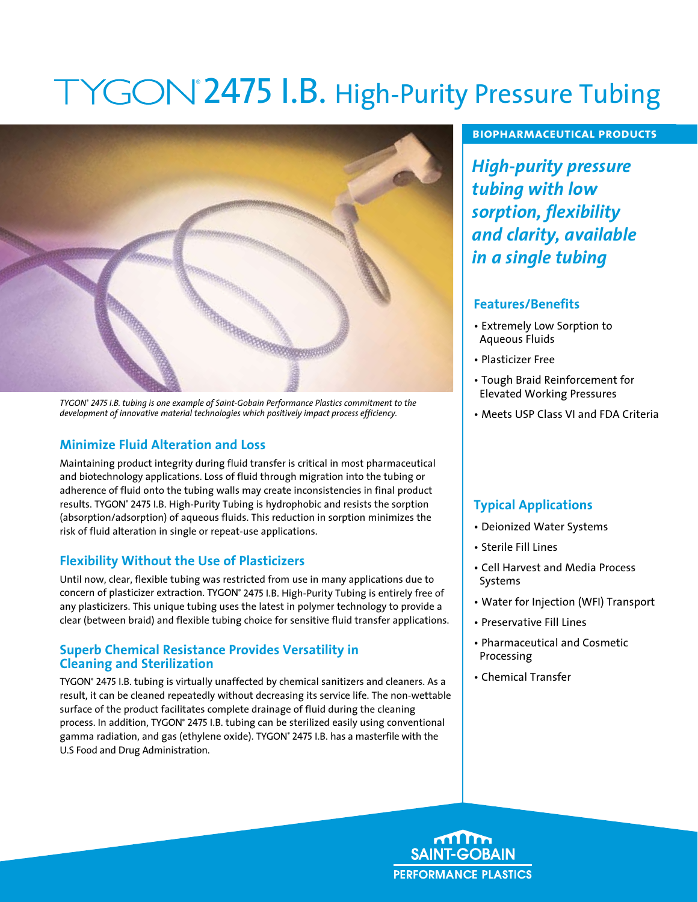# 2475 I.B. High-Purity Pressure Tubing



*TYGON® 2475 I.B. tubing is one example of Saint-Gobain Performance Plastics commitment to the development of innovative material technologies which positively impact process efficiency.*

# **Minimize Fluid Alteration and Loss**

Maintaining product integrity during fluid transfer is critical in most pharmaceutical and biotechnology applications. Loss of fluid through migration into the tubing or adherence of fluid onto the tubing walls may create inconsistencies in final product results. TYGON® 2475 I.B. High-Purity Tubing is hydrophobic and resists the sorption (absorption/adsorption) of aqueous fluids. This reduction in sorption minimizes the risk of fluid alteration in single or repeat-use applications.

#### **Flexibility Without the Use of Plasticizers**

Until now, clear, flexible tubing was restricted from use in many applications due to concern of plasticizer extraction. TYGON® 2475 I.B. High-Purity Tubing is entirely free of any plasticizers. This unique tubing uses the latest in polymer technology to provide a clear (between braid) and flexible tubing choice for sensitive fluid transfer applications.

#### **Superb Chemical Resistance Provides Versatility in Cleaning and Sterilization**

TYGON® 2475 I.B. tubing is virtually unaffected by chemical sanitizers and cleaners. As a result, it can be cleaned repeatedly without decreasing its service life. The non-wettable surface of the product facilitates complete drainage of fluid during the cleaning process. In addition, TYGON° 2475 I.B. tubing can be sterilized easily using conventional gamma radiation, and gas (ethylene oxide). TYGON° 2475 I.B. has a masterfile with the U.S Food and Drug Administration.

#### **biopharmaceutical products**

*High-purity pressure tubing with low sorption, flexibility and clarity, available in a single tubing*

#### **Features/Benefits**

- Extremely Low Sorption to Aqueous Fluids
- Plasticizer Free
- Tough Braid Reinforcement for Elevated Working Pressures
- Meets USP Class VI and FDA Criteria

# **Typical Applications**

- Deionized Water Systems
- Sterile Fill Lines
- Cell Harvest and Media Process Systems
- Water for Injection (WFI) Transport
- Preservative Fill Lines
- Pharmaceutical and Cosmetic Processing
- Chemical Transfer

**SAINT-GOBAIN PERFORMANCE PLASTICS**